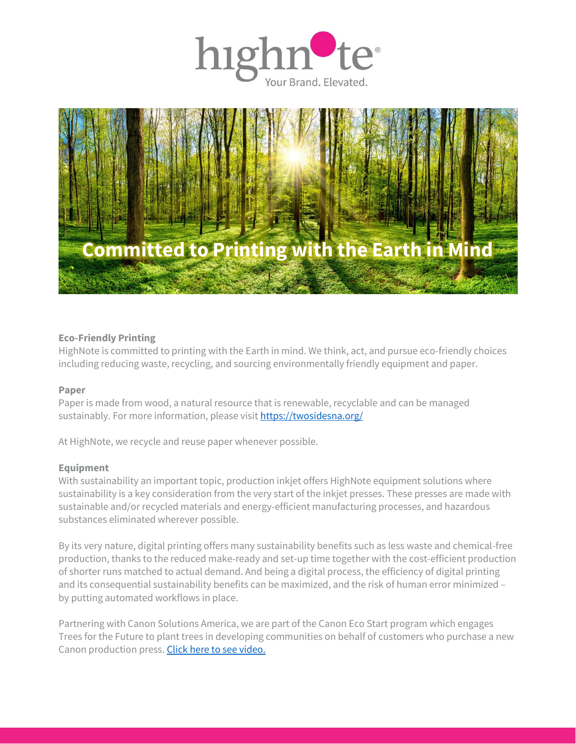



### **Eco-Friendly Printing**

HighNote is committed to printing with the Earth in mind. We think, act, and pursue eco-friendly choices including reducing waste, recycling, and sourcing environmentally friendly equipment and paper.

### **Paper**

Paper is made from wood, a natural resource that is renewable, recyclable and can be managed sustainably. For more information, please visit<https://twosidesna.org/>

At HighNote, we recycle and reuse paper whenever possible.

### **Equipment**

With sustainability an important topic, production inkjet offers HighNote equipment solutions where sustainability is a key consideration from the very start of the inkjet presses. These presses are made with sustainable and/or recycled materials and energy-efficient manufacturing processes, and hazardous substances eliminated wherever possible.

By its very nature, digital printing offers many sustainability benefits such as less waste and chemical-free production, thanks to the reduced make-ready and set-up time together with the cost-efficient production of shorter runs matched to actual demand. And being a digital process, the efficiency of digital printing and its consequential sustainability benefits can be maximized, and the risk of human error minimized – by putting automated workflows in place.

Partnering with Canon Solutions America, we are part of the Canon Eco Start program which engages Trees for the Future to plant trees in developing communities on behalf of customers who purchase a new Canon production press. [Click here to see video.](https://info.powerfulproductionprint.com/dpi-cp-lp-2022-04.html?cta=video-canon-solutions-america-eco-start-program)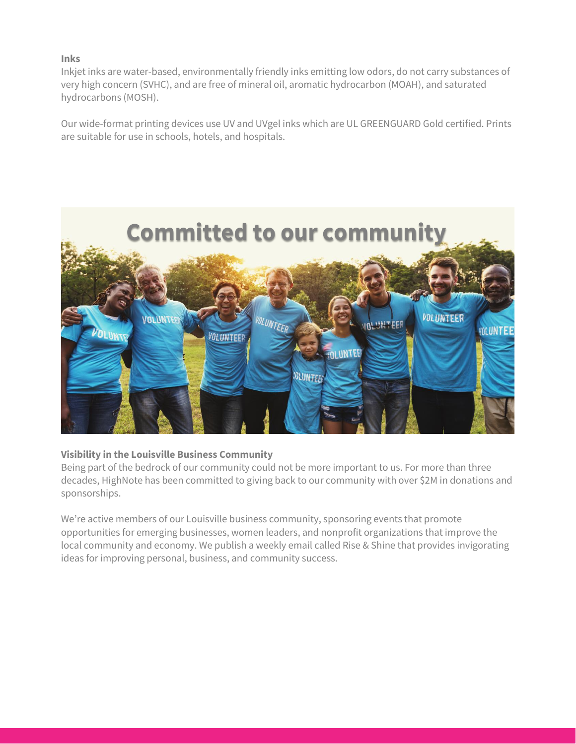# **Inks**

Inkjet inks are water-based, environmentally friendly inks emitting low odors, do not carry substances of very high concern (SVHC), and are free of mineral oil, aromatic hydrocarbon (MOAH), and saturated hydrocarbons (MOSH).

Our wide-format printing devices use UV and UVgel inks which are UL GREENGUARD Gold certified. Prints are suitable for use in schools, hotels, and hospitals.



## **Visibility in the Louisville Business Community**

Being part of the bedrock of our community could not be more important to us. For more than three decades, HighNote has been committed to giving back to our community with over \$2M in donations and sponsorships.

We're active members of our Louisville business community, sponsoring events that promote opportunities for emerging businesses, women leaders, and nonprofit organizations that improve the local community and economy. We publish a weekly email called Rise & Shine that provides invigorating ideas for improving personal, business, and community success.